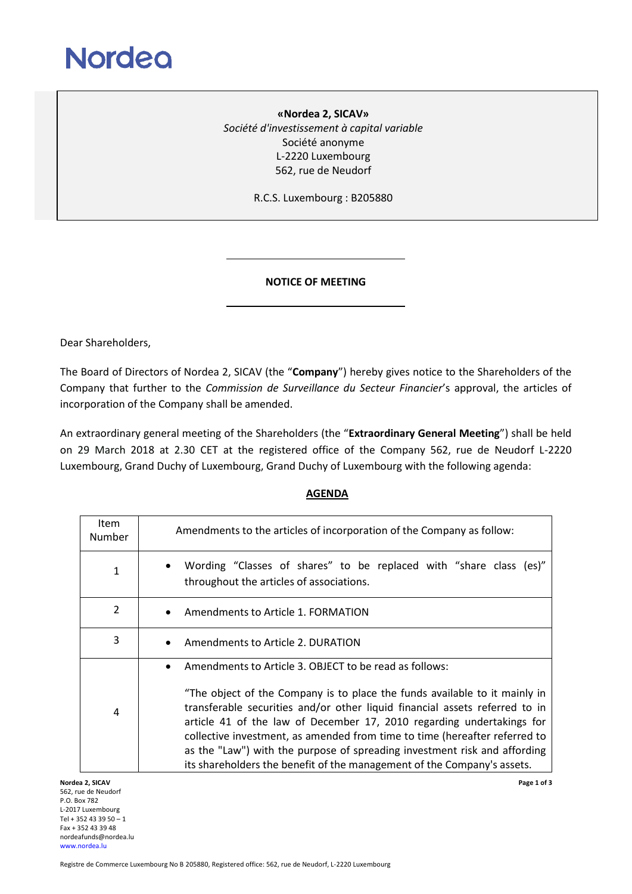

**«Nordea 2, SICAV»** *Société d'investissement à capital variable* Société anonyme L-2220 Luxembourg 562, rue de Neudorf

R.C.S. Luxembourg : B205880

## **NOTICE OF MEETING**

Dear Shareholders,

The Board of Directors of Nordea 2, SICAV (the "**Company**") hereby gives notice to the Shareholders of the Company that further to the *Commission de Surveillance du Secteur Financier*'s approval, the articles of incorporation of the Company shall be amended.

An extraordinary general meeting of the Shareholders (the "**Extraordinary General Meeting**") shall be held on 29 March 2018 at 2.30 CET at the registered office of the Company 562, rue de Neudorf L-2220 Luxembourg, Grand Duchy of Luxembourg, Grand Duchy of Luxembourg with the following agenda:

## **AGENDA**

| <b>Item</b><br>Number | Amendments to the articles of incorporation of the Company as follow:                                                                                                                                                                                                                                                                                                                                                                                                                                                                           |
|-----------------------|-------------------------------------------------------------------------------------------------------------------------------------------------------------------------------------------------------------------------------------------------------------------------------------------------------------------------------------------------------------------------------------------------------------------------------------------------------------------------------------------------------------------------------------------------|
| 1                     | Wording "Classes of shares" to be replaced with "share class (es)"<br>throughout the articles of associations.                                                                                                                                                                                                                                                                                                                                                                                                                                  |
| 2                     | Amendments to Article 1. FORMATION                                                                                                                                                                                                                                                                                                                                                                                                                                                                                                              |
| 3                     | Amendments to Article 2. DURATION                                                                                                                                                                                                                                                                                                                                                                                                                                                                                                               |
| 4                     | Amendments to Article 3. OBJECT to be read as follows:<br>$\bullet$<br>"The object of the Company is to place the funds available to it mainly in<br>transferable securities and/or other liquid financial assets referred to in<br>article 41 of the law of December 17, 2010 regarding undertakings for<br>collective investment, as amended from time to time (hereafter referred to<br>as the "Law") with the purpose of spreading investment risk and affording<br>its shareholders the benefit of the management of the Company's assets. |

**Nordea 2, SICAV Page 1 of 3** 562, rue de Neudorf P.O. Box 782 L-2017 Luxembourg Tel + 352 43 39 50 – 1 Fax + 352 43 39 48 nordeafunds@nordea.lu [www.nordea.lu](http://www.nordea.lu/)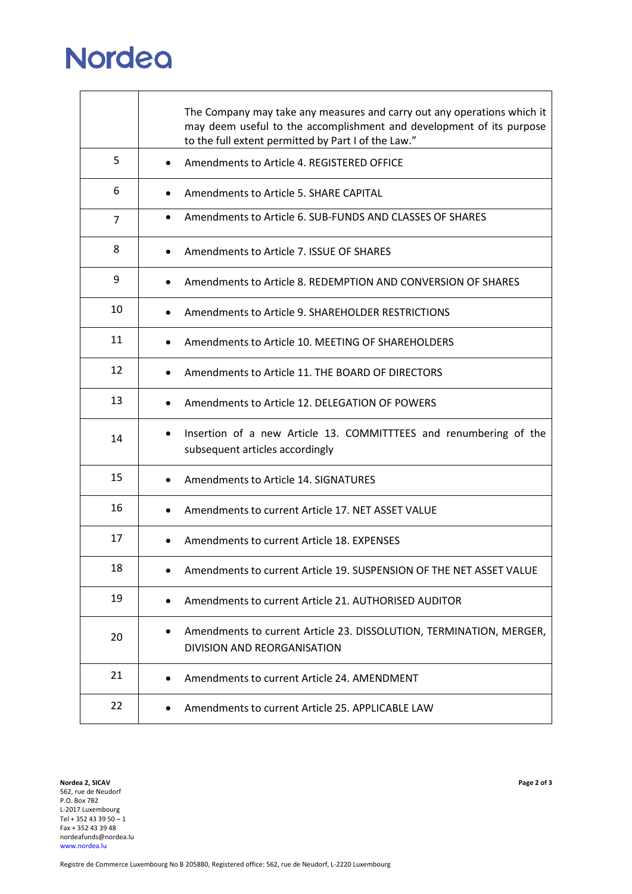## **Nordea**

|    | The Company may take any measures and carry out any operations which it<br>may deem useful to the accomplishment and development of its purpose<br>to the full extent permitted by Part I of the Law." |
|----|--------------------------------------------------------------------------------------------------------------------------------------------------------------------------------------------------------|
| 5  | Amendments to Article 4. REGISTERED OFFICE<br>$\bullet$                                                                                                                                                |
| 6  | Amendments to Article 5. SHARE CAPITAL<br>$\bullet$                                                                                                                                                    |
| 7  | Amendments to Article 6. SUB-FUNDS AND CLASSES OF SHARES<br>$\bullet$                                                                                                                                  |
| 8  | Amendments to Article 7. ISSUE OF SHARES<br>$\bullet$                                                                                                                                                  |
| 9  | Amendments to Article 8. REDEMPTION AND CONVERSION OF SHARES                                                                                                                                           |
| 10 | Amendments to Article 9, SHARFHOLDFR RESTRICTIONS                                                                                                                                                      |
| 11 | Amendments to Article 10. MEETING OF SHAREHOLDERS<br>$\bullet$                                                                                                                                         |
| 12 | Amendments to Article 11. THE BOARD OF DIRECTORS<br>$\bullet$                                                                                                                                          |
| 13 | Amendments to Article 12. DELEGATION OF POWERS<br>$\bullet$                                                                                                                                            |
| 14 | Insertion of a new Article 13. COMMITTTEES and renumbering of the<br>$\bullet$<br>subsequent articles accordingly                                                                                      |
| 15 | Amendments to Article 14, SIGNATURES<br>٠                                                                                                                                                              |
| 16 | Amendments to current Article 17. NET ASSET VALUE                                                                                                                                                      |
| 17 | Amendments to current Article 18, EXPENSES                                                                                                                                                             |
| 18 | Amendments to current Article 19. SUSPENSION OF THE NET ASSET VALUE                                                                                                                                    |
| 19 | Amendments to current Article 21. AUTHORISED AUDITOR                                                                                                                                                   |
| 20 | Amendments to current Article 23. DISSOLUTION, TERMINATION, MERGER,<br>DIVISION AND REORGANISATION                                                                                                     |
| 21 | Amendments to current Article 24. AMENDMENT                                                                                                                                                            |
| 22 | Amendments to current Article 25. APPLICABLE LAW<br>٠                                                                                                                                                  |